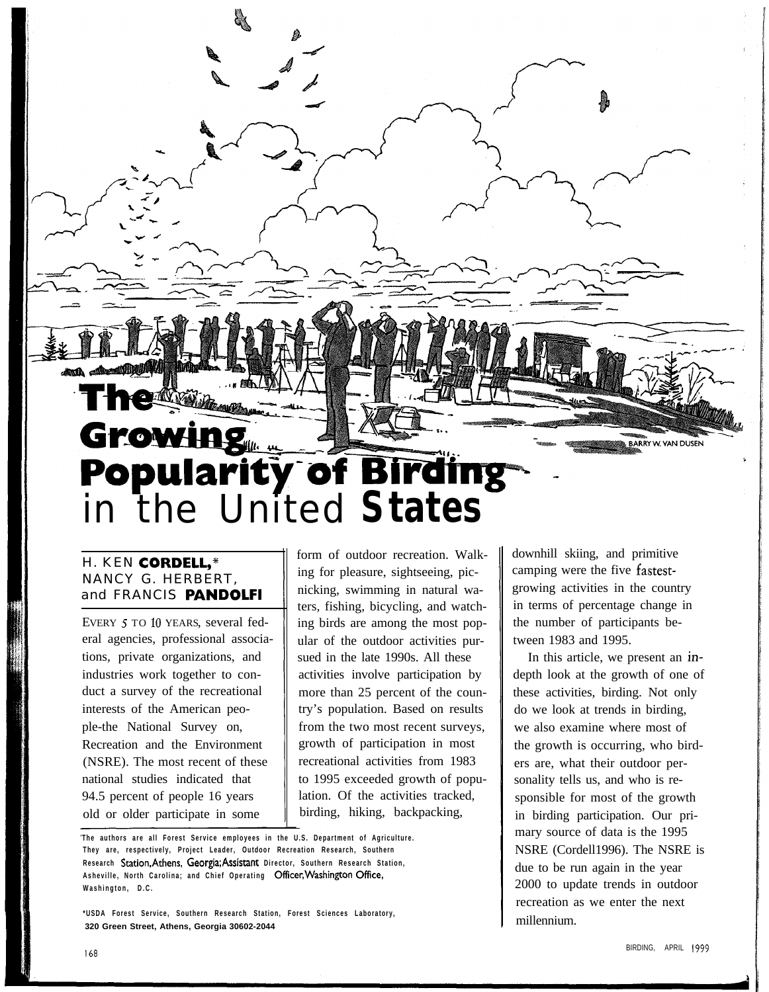

#### H. KEN CORDELL,\* NANCY G. HERBERT, and FRANCIS **PANDOLFI**

EVERY 5 TO 10 YEARS, several federal agencies, professional associations, private organizations, and industries work together to conduct a survey of the recreational interests of the American people-the National Survey on, Recreation and the Environment (NSRE). The most recent of these national studies indicated that 94.5 percent of people 16 years old or older participate in some

form of outdoor recreation. Walking for pleasure, sightseeing, picnicking, swimming in natural waters, fishing, bicycling, and watching birds are among the most popular of the outdoor activities pursued in the late 1990s. All these activities involve participation by more than 25 percent of the country's population. Based on results from the two most recent surveys, growth of participation in most recreational activities from 1983 to 1995 exceeded growth of population. Of the activities tracked, birding, hiking, backpacking,

**\*USDA Forest Service, Southern Research Station, Forest Sciences Laboratory, 320 Green Street, Athens, Georgia 30602-2044**

downhill skiing, and primitive camping were the five fastestgrowing activities in the country in terms of percentage change in the number of participants between 1983 and 1995.

In this article, we present an indepth look at the growth of one of these activities, birding. Not only do we look at trends in birding, we also examine where most of the growth is occurring, who birders are, what their outdoor personality tells us, and who is responsible for most of the growth in birding participation. Our primary source of data is the 1995 NSRE (Cordell1996). The NSRE is due to be run again in the year 2000 to update trends in outdoor recreation as we enter the next millennium.

**The authors are all Forest Service employees in the U.S. Department of Agriculture. They are, respectively, Project Leader, Outdoor Recreation Research, Southern Research Station.Athens, Georgia;Assistant Director, Southern Research Station, Asheville, North Carolina; and Chief Operating Officer,Washington Office, Washington, D.C.**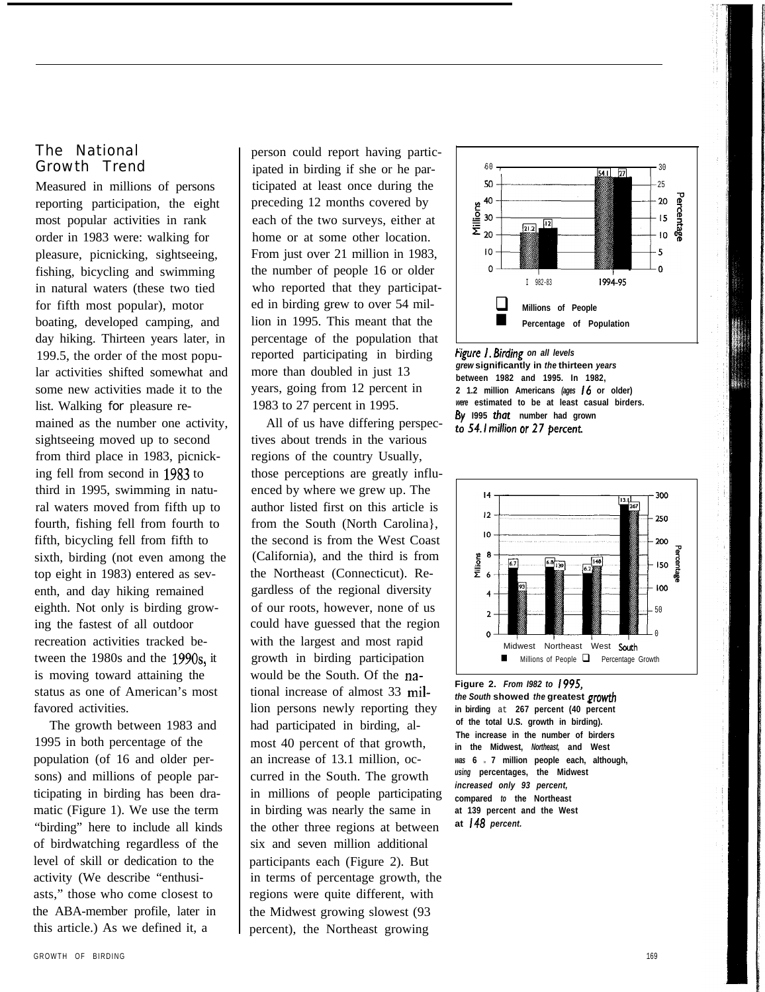#### The National Growth Trend

Measured in millions of persons reporting participation, the eight most popular activities in rank order in 1983 were: walking for pleasure, picnicking, sightseeing, fishing, bicycling and swimming in natural waters (these two tied for fifth most popular), motor boating, developed camping, and day hiking. Thirteen years later, in 199.5, the order of the most popular activities shifted somewhat and some new activities made it to the list. Walking for pleasure remained as the number one activity, sightseeing moved up to second from third place in 1983, picnicking fell from second in 1983 to third in 1995, swimming in natural waters moved from fifth up to fourth, fishing fell from fourth to fifth, bicycling fell from fifth to sixth, birding (not even among the top eight in 1983) entered as seventh, and day hiking remained eighth. Not only is birding growing the fastest of all outdoor recreation activities tracked between the 1980s and the 199Os, it is moving toward attaining the status as one of American's most favored activities.

The growth between 1983 and 1995 in both percentage of the population (of 16 and older persons) and millions of people participating in birding has been dramatic (Figure 1). We use the term "birding" here to include all kinds of birdwatching regardless of the level of skill or dedication to the activity (We describe "enthusiasts," those who come closest to the ABA-member profile, later in this article.) As we defined it, a

person could report having participated in birding if she or he participated at least once during the preceding 12 months covered by each of the two surveys, either at home or at some other location. From just over 21 million in 1983, the number of people 16 or older who reported that they participated in birding grew to over 54 million in 1995. This meant that the percentage of the population that reported participating in birding *tigure I. Birding on all levels*<br>grew significantly in the thirteen years more than doubled in just 13 years, going from 12 percent in

All of us have differing perspectives about trends in the various regions of the country Usually, those perceptions are greatly influenced by where we grew up. The author listed first on this article is from the South (North Carolina}, the second is from the West Coast (California), and the third is from the Northeast (Connecticut). Regardless of the regional diversity of our roots, however, none of us could have guessed that the region with the largest and most rapid growth in birding participation would be the South. Of the national increase of almost 33 million persons newly reporting they had participated in birding, almost 40 percent of that growth, an increase of 13.1 million, occurred in the South. The growth in millions of people participating in birding was nearly the same in the other three regions at between six and seven million additional participants each (Figure 2). But in terms of percentage growth, the regions were quite different, with the Midwest growing slowest (93 percent), the Northeast growing



**between 1982 and 1995. In 1982, 2 1.2 million Americans** *(ages* **I6 or older)** 1983 to 27 percent in 1995. *were* **estimated to be at least casual birders.** to 54.1 million or 27 percent.



**Figure 2.** *From I982 to 1995, the South* **showed** *the* **greatest prowth in birding** at **267 percent (40 percent of the total U.S. growth in birding). The increase in the number of birders in the Midwest,** *Northeast,* **and West** was **6**  $\cdot$  **7** million people each, although, *using* **percentages, the Midwest** *increased only 93 percent,* **compared** *to* **the Northeast at 139 percent and the West at 148** *percent.*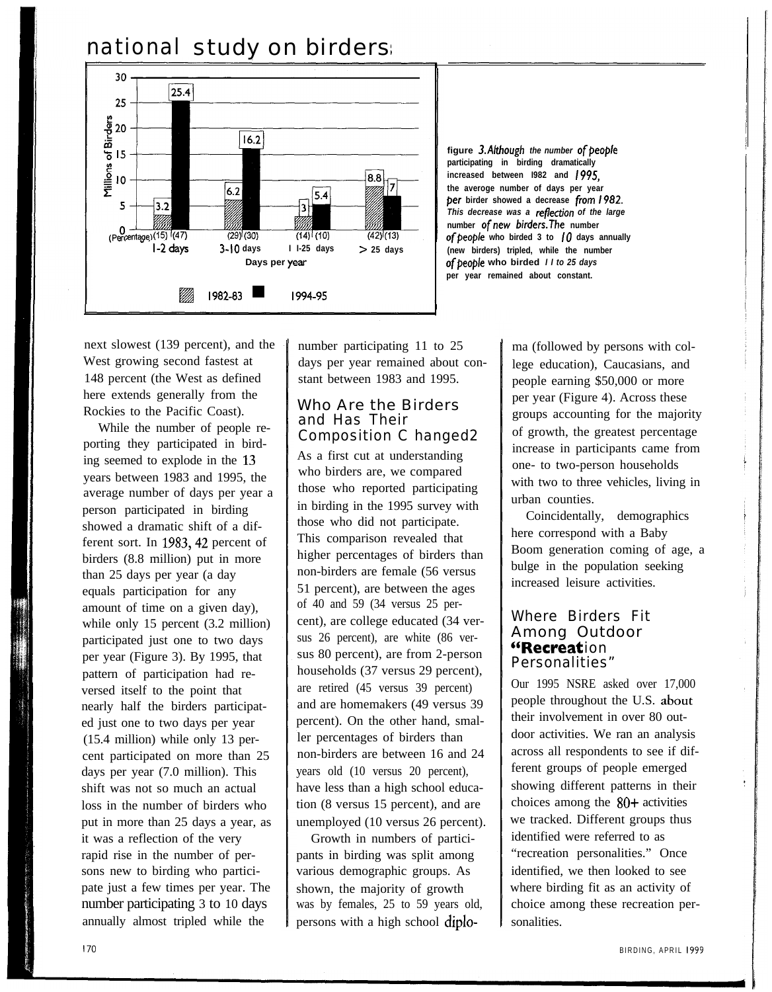# national study on birders



**figure 3.Although** the number of people **participating in birding dramatically increased between I982 and 1995, the averoge number of days per year per birder showed a decrease from 1982.** *This decrease was a reflection of the large* **number ofnew birders.The number** of people who birded  $3$  to  $10$  days annually **(new birders) tripled, while the number of people who birded** *II to 25 days* **per year remained about constant.**

next slowest (139 percent), and the West growing second fastest at 148 percent (the West as defined here extends generally from the Rockies to the Pacific Coast).

While the number of people reporting they participated in birding seemed to explode in the 13 years between 1983 and 1995, the average number of days per year a person participated in birding showed a dramatic shift of a different sort. In 1983, 42 percent of birders (8.8 million) put in more than 25 days per year (a day equals participation for any amount of time on a given day), while only 15 percent (3.2 million) participated just one to two days per year (Figure 3). By 1995, that pattern of participation had reversed itself to the point that nearly half the birders participated just one to two days per year (15.4 million) while only 13 percent participated on more than 25 days per year (7.0 million). This shift was not so much an actual loss in the number of birders who put in more than 25 days a year, as it was a reflection of the very rapid rise in the number of persons new to birding who participate just a few times per year. The number participating 3 to 10 days annually almost tripled while the

number participating 11 to 25 days per year remained about constant between 1983 and 1995.

#### Who Are the Birders and Has Their Composition C hanged2

As a first cut at understanding who birders are, we compared those who reported participating in birding in the 1995 survey with those who did not participate. This comparison revealed that higher percentages of birders than non-birders are female (56 versus 51 percent), are between the ages of 40 and 59 (34 versus 25 percent), are college educated (34 versus 26 percent), are white (86 versus 80 percent), are from 2-person households (37 versus 29 percent), are retired (45 versus 39 percent) and are homemakers (49 versus 39 percent). On the other hand, smaller percentages of birders than non-birders are between 16 and 24 years old (10 versus 20 percent), have less than a high school education (8 versus 15 percent), and are unemployed (10 versus 26 percent).

Growth in numbers of participants in birding was split among various demographic groups. As shown, the majority of growth was by females, 25 to 59 years old, persons with a high school diploma (followed by persons with college education), Caucasians, and people earning \$50,000 or more per year (Figure 4). Across these groups accounting for the majority of growth, the greatest percentage increase in participants came from one- to two-person households with two to three vehicles, living in urban counties.

Coincidentally, demographics here correspond with a Baby Boom generation coming of age, a bulge in the population seeking increased leisure activities.

#### Where Birders Fit Among Outdoor "Recreation Personalities"

Our 1995 NSRE asked over 17,000 people throughout the U.S. abour their involvement in over 80 outdoor activities. We ran an analysis across all respondents to see if different groups of people emerged showing different patterns in their choices among the  $80+$  activities we tracked. Different groups thus identified were referred to as "recreation personalities." Once identified, we then looked to see where birding fit as an activity of choice among these recreation personalities.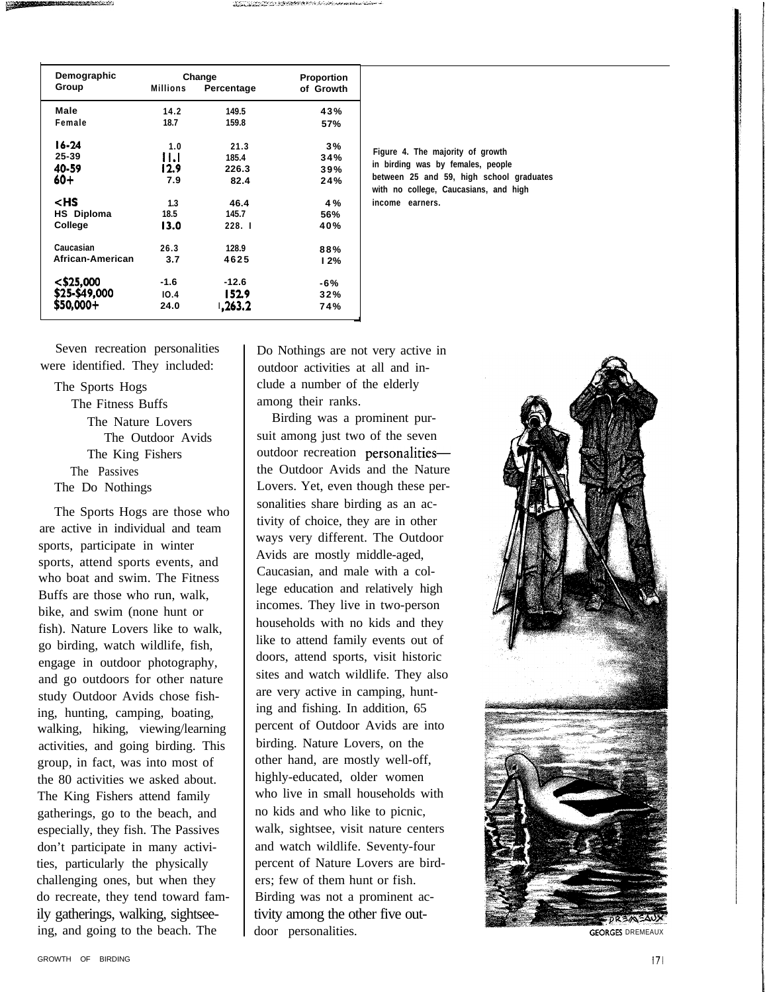| Demographic<br>Group                                   | <b>Millions</b> | Change<br>Percentage | <b>Proportion</b><br>of Growth |
|--------------------------------------------------------|-----------------|----------------------|--------------------------------|
| Male                                                   | 14.2            | 149.5                | 43%                            |
| Female                                                 | 18.7            | 159.8                | 57%                            |
| l 6-24                                                 | 1.0             | 21.3                 | 3%                             |
| 25-39                                                  | 11.I            | 185.4                | 34%                            |
| 40-59                                                  | 12.9            | 226.3                | 39%                            |
| 60+                                                    | 7.9             | 82.4                 | 24%                            |
| <hs< th=""><td>1.3</td><td>46.4</td><td>4 %</td></hs<> | 1.3             | 46.4                 | 4 %                            |
| HS Diploma                                             | 18.5            | 145.7                | 56%                            |
| College                                                | 13.0            | 228.1                | 40%                            |
| Caucasian                                              | 26.3            | 128.9                | 88%                            |
| African-American                                       | 3.7             | 4625                 | 12%                            |
| $<$ \$25,000                                           | $-1.6$          | $-12.6$              | -6%                            |
| \$25-\$49,000                                          | 10.4            | 152.9                | 32%                            |
| \$50.000+                                              | 24.0            | 1,263.2              | 74%                            |

**Figure 4. The majority of growth in birding was by females, people between 25 and 59, high school graduates with no college, Caucasians, and high income earners.**

Seven recreation personalities were identified. They included:

The Sports Hogs The Fitness Buffs The Nature Lovers The Outdoor Avids The King Fishers The Passives The Do Nothings

The Sports Hogs are those who are active in individual and team sports, participate in winter sports, attend sports events, and who boat and swim. The Fitness Buffs are those who run, walk, bike, and swim (none hunt or fish). Nature Lovers like to walk, go birding, watch wildlife, fish, engage in outdoor photography, and go outdoors for other nature study Outdoor Avids chose fishing, hunting, camping, boating, walking, hiking, viewing/learning activities, and going birding. This group, in fact, was into most of the 80 activities we asked about. The King Fishers attend family gatherings, go to the beach, and especially, they fish. The Passives don't participate in many activities, particularly the physically challenging ones, but when they do recreate, they tend toward family gatherings, walking, sightseeing, and going to the beach. The

Do Nothings are not very active in outdoor activities at all and include a number of the elderly among their ranks.

Birding was a prominent pursuit among just two of the seven outdoor recreation personalitiesthe Outdoor Avids and the Nature Lovers. Yet, even though these personalities share birding as an activity of choice, they are in other ways very different. The Outdoor Avids are mostly middle-aged, Caucasian, and male with a college education and relatively high incomes. They live in two-person households with no kids and they like to attend family events out of doors, attend sports, visit historic sites and watch wildlife. They also are very active in camping, hunting and fishing. In addition, 65 percent of Outdoor Avids are into birding. Nature Lovers, on the other hand, are mostly well-off, highly-educated, older women who live in small households with no kids and who like to picnic, walk, sightsee, visit nature centers and watch wildlife. Seventy-four percent of Nature Lovers are birders; few of them hunt or fish. Birding was not a prominent activity among the other five outdoor personalities. GEORGES DREMEAUX

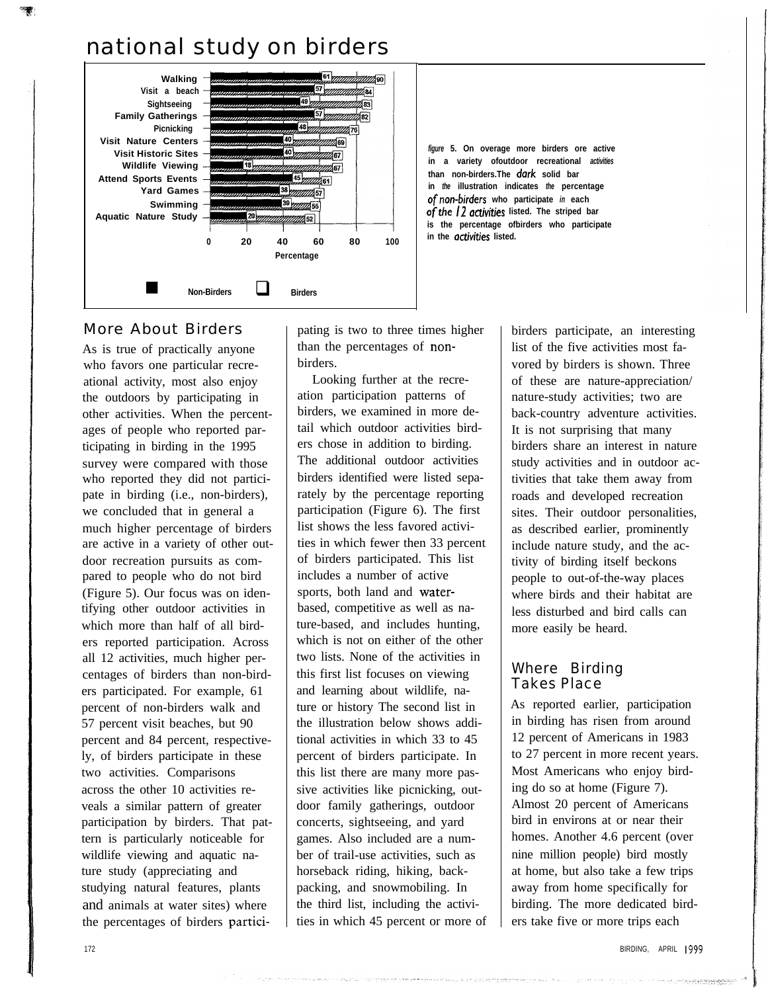# national study on birders



*figure* **5. On overage more birders ore active in a variety ofoutdoor recreational** *activities* **than non-birders.The dark solid bar in** *the* **illustration indicates** *the* **percentage of non-birders who participate** *in* **each** *ofthe* **/2 activities listed. The striped bar is the percentage ofbirders who participate in the activities listed.**

## More About Birders

As is true of practically anyone who favors one particular recreational activity, most also enjoy the outdoors by participating in other activities. When the percentages of people who reported participating in birding in the 1995 survey were compared with those who reported they did not participate in birding (i.e., non-birders), we concluded that in general a much higher percentage of birders are active in a variety of other outdoor recreation pursuits as compared to people who do not bird (Figure 5). Our focus was on identifying other outdoor activities in which more than half of all birders reported participation. Across all 12 activities, much higher percentages of birders than non-birders participated. For example, 61 percent of non-birders walk and 57 percent visit beaches, but 90 percent and 84 percent, respectively, of birders participate in these two activities. Comparisons across the other 10 activities reveals a similar pattern of greater participation by birders. That pattern is particularly noticeable for wildlife viewing and aquatic nature study (appreciating and studying natural features, plants and animals at water sites) where the percentages of birders participating is two to three times higher than the percentages of nonbirders.

Looking further at the recreation participation patterns of birders, we examined in more detail which outdoor activities birders chose in addition to birding. The additional outdoor activities birders identified were listed separately by the percentage reporting participation (Figure 6). The first list shows the less favored activities in which fewer then 33 percent of birders participated. This list includes a number of active sports, both land and waterbased, competitive as well as nature-based, and includes hunting, which is not on either of the other two lists. None of the activities in this first list focuses on viewing and learning about wildlife, nature or history The second list in the illustration below shows additional activities in which 33 to 45 percent of birders participate. In this list there are many more passive activities like picnicking, outdoor family gatherings, outdoor concerts, sightseeing, and yard games. Also included are a number of trail-use activities, such as horseback riding, hiking, backpacking, and snowmobiling. In the third list, including the activities in which 45 percent or more of

birders participate, an interesting list of the five activities most favored by birders is shown. Three of these are nature-appreciation/ nature-study activities; two are back-country adventure activities. It is not surprising that many birders share an interest in nature study activities and in outdoor activities that take them away from roads and developed recreation sites. Their outdoor personalities, as described earlier, prominently include nature study, and the activity of birding itself beckons people to out-of-the-way places where birds and their habitat are less disturbed and bird calls can more easily be heard.

#### Where Birding Takes Place

As reported earlier, participation in birding has risen from around 12 percent of Americans in 1983 to 27 percent in more recent years. Most Americans who enjoy birding do so at home (Figure 7). Almost 20 percent of Americans bird in environs at or near their homes. Another 4.6 percent (over nine million people) bird mostly at home, but also take a few trips away from home specifically for birding. The more dedicated birders take five or more trips each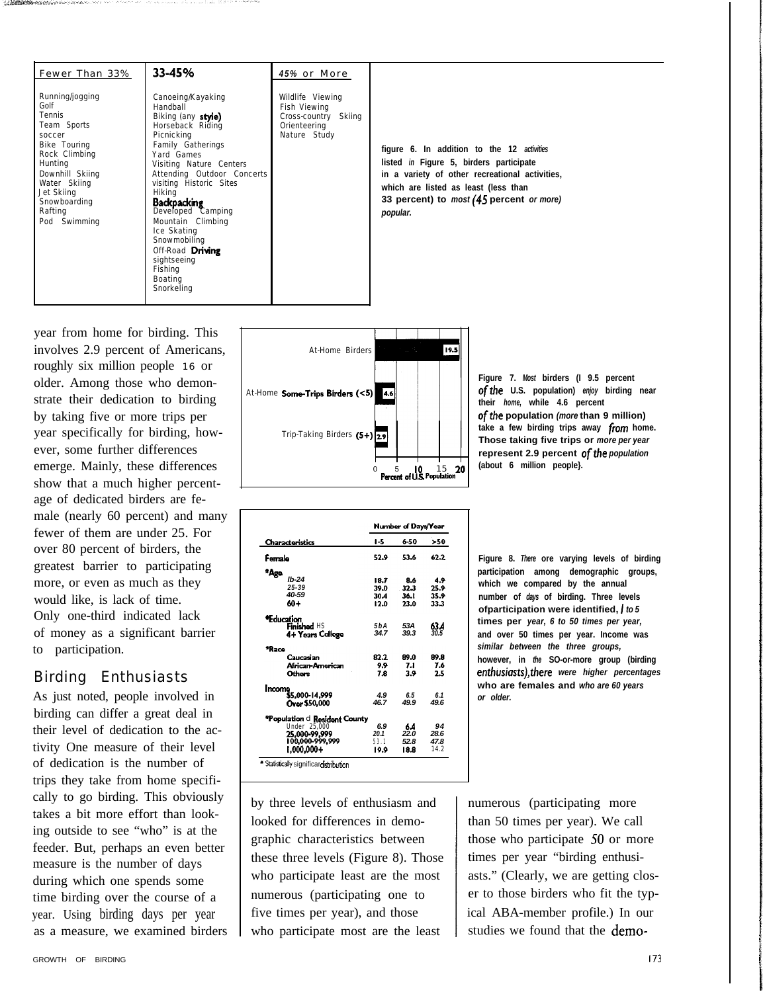| Fewer Than 33%                                                                                                                                                                                     | 33-45%                                                                                                                                                                                                                                                                                                                                                                                       | 45% or More                                                                              |                                                                                                                                                                                                                                         |
|----------------------------------------------------------------------------------------------------------------------------------------------------------------------------------------------------|----------------------------------------------------------------------------------------------------------------------------------------------------------------------------------------------------------------------------------------------------------------------------------------------------------------------------------------------------------------------------------------------|------------------------------------------------------------------------------------------|-----------------------------------------------------------------------------------------------------------------------------------------------------------------------------------------------------------------------------------------|
| Running/jogging<br>Golf<br>Tennis<br>Team Sports<br>soccer<br>Bike Touring<br>Rock Climbing<br>Hunting<br>Downhill Skiing<br>Water Skiing<br>Jet Skiing<br>Snowboarding<br>Rafting<br>Pod Swimming | Canoeing/Kayaking<br>Handball<br>Biking (any style)<br>Horseback Riding<br>Picnicking<br>Family Gatherings<br>Yard Games<br>Visiting Nature Centers<br>Attending Outdoor Concerts<br>visiting Historic Sites<br>Hiking<br><b>Backpacking</b><br>Developed Camping<br>Mountain Climbing<br>Ice Skating<br>Snowmobiling<br>Off-Road Driving<br>sightseeing<br>Fishing<br>Boating<br>Snorkeling | Wildlife Viewing<br>Fish Viewing<br>Cross-country Skiing<br>Orienteering<br>Nature Study | figure 6. In addition to the 12 activities<br>listed in Figure 5, birders participate<br>in a variety of other recreational activities,<br>which are listed as least (less than<br>33 percent) to most (45 percent or more)<br>popular. |

year from home for birding. This involves 2.9 percent of Americans, roughly six million people 16 or older. Among those who demonstrate their dedication to birding by taking five or more trips per year specifically for birding, however, some further differences emerge. Mainly, these differences show that a much higher percentage of dedicated birders are female (nearly 60 percent) and many fewer of them are under 25. For over 80 percent of birders, the greatest barrier to participating more, or even as much as they would like, is lack of time. Only one-third indicated lack of money as a significant barrier to participation.

## Birding Enthusiasts

As just noted, people involved in birding can differ a great deal in their level of dedication to the activity One measure of their level of dedication is the number of trips they take from home specifically to go birding. This obviously takes a bit more effort than looking outside to see "who" is at the feeder. But, perhaps an even better measure is the number of days during which one spends some time birding over the course of a year. Using birding days per year as a measure, we examined birders



|                               |                  | Number of Days/Year |      |
|-------------------------------|------------------|---------------------|------|
| Characteristics               | 1-5              | 6-50                | >50  |
| Ferrale                       | 52.9             | 53.6                | 62.2 |
| *Ago.                         |                  |                     |      |
| $Ib-24$                       | 18.7             | 8.6                 | 4.9  |
| $25 - 39$                     | 39.0             | -32.3               | 25.9 |
| 40-59                         | 30.4             | 36.I                | 35.9 |
| 60+                           | 12.0             | 23.0                | 33.3 |
| *Education                    |                  |                     |      |
| Finished HS                   | 5 b A            | 53A                 | 63.4 |
| 4+ Years College              | 34.7             | 39.3                | 30.5 |
| *Raco                         |                  |                     |      |
| Caucasian                     | 82.2             | 89.0                | 89.8 |
| African-American              | 9.9 <sub>•</sub> | 7.1                 | 7.6  |
| Othors                        | 7.8              | 3.9                 | 2.5  |
| Income                        |                  |                     |      |
| \$5,000-14.999                | 4.9              | 6.5                 | 6.1  |
| Ovor \$50,000                 | 46.7             | 49.9                | 49.6 |
| *Population d Resident County |                  |                     |      |
| Under 25,000                  | 6.9              | 6.4                 | 94   |
| 25,000-99,999                 | 20.1             | 22.0                | 28.6 |
| 100,000-999,999               | 53.1             | 52.8                | 47.8 |
| 1.000.000+                    | 19.9             | 18.8                | 14.2 |

by three levels of enthusiasm and looked for differences in demographic characteristics between these three levels (Figure 8). Those who participate least are the most numerous (participating one to five times per year), and those who participate most are the least



**Figure 8.** *There* **ore varying levels of birding participation among demographic groups, which we compared by the annual number of** *days* **of birding. Three levels ofparticipation were identified, I** *to 5* **times per** *year, 6 to 50 times per year,* **and over 50 times per year. Income was** *similar between the three groups,* **however, in** *the* **SO-or-more group (birding** *enthusiasts),there were higher percentages* **who are females and** *who are 60 years or older.*

numerous (participating more than 50 times per year). We call those who participate 50 or more times per year "birding enthusiasts." (Clearly, we are getting closer to those birders who fit the typical ABA-member profile.) In our studies we found that the demo-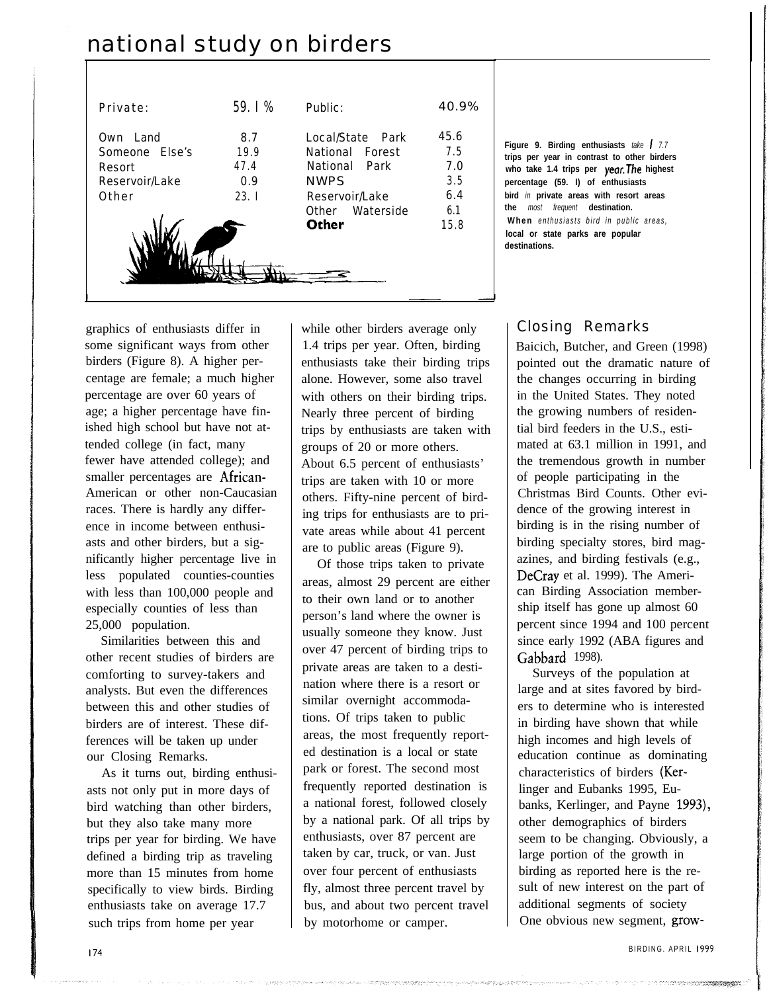# national study on birders

| Private:                                                            | 59.   %                            | Public:                                                                                                           | 40.9%                                           |
|---------------------------------------------------------------------|------------------------------------|-------------------------------------------------------------------------------------------------------------------|-------------------------------------------------|
| I and<br>Own<br>Someone Flse's<br>Resort<br>Reservoir/Lake<br>Other | 8.7<br>19.9<br>47.4<br>0.9<br>23.1 | Local/State Park<br>National Forest<br>National Park<br><b>NWPS</b><br>Reservoir/Lake<br>Other Waterside<br>Other | 45.6<br>7.5<br>7.0<br>3.5<br>6.4<br>6.1<br>15.8 |

**Figure 9. Birding enthusiasts** *take I 7.7* **trips per year in contrast to other birders who take 1.4 trips per year.The highest percentage (59. I) of enthusiasts bird** *in* **private areas with resort areas the** *most frequent* **destination. When** *enthusiasts bird in public areas,* **local or state parks are popular destinations.**

graphics of enthusiasts differ in some significant ways from other birders (Figure 8). A higher percentage are female; a much higher percentage are over 60 years of age; a higher percentage have finished high school but have not attended college (in fact, many fewer have attended college); and smaller percentages are African-American or other non-Caucasian races. There is hardly any difference in income between enthusiasts and other birders, but a significantly higher percentage live in less populated counties-counties with less than 100,000 people and especially counties of less than 25,000 population.

Similarities between this and other recent studies of birders are comforting to survey-takers and analysts. But even the differences between this and other studies of birders are of interest. These differences will be taken up under our Closing Remarks.

As it turns out, birding enthusiasts not only put in more days of bird watching than other birders, but they also take many more trips per year for birding. We have defined a birding trip as traveling more than 15 minutes from home specifically to view birds. Birding enthusiasts take on average 17.7 such trips from home per year

while other birders average only 1.4 trips per year. Often, birding enthusiasts take their birding trips alone. However, some also travel with others on their birding trips. Nearly three percent of birding trips by enthusiasts are taken with groups of 20 or more others. About 6.5 percent of enthusiasts' trips are taken with 10 or more others. Fifty-nine percent of birding trips for enthusiasts are to private areas while about 41 percent are to public areas (Figure 9).

Of those trips taken to private areas, almost 29 percent are either to their own land or to another person's land where the owner is usually someone they know. Just over 47 percent of birding trips to private areas are taken to a destination where there is a resort or similar overnight accommodations. Of trips taken to public areas, the most frequently reported destination is a local or state park or forest. The second most frequently reported destination is a national forest, followed closely by a national park. Of all trips by enthusiasts, over 87 percent are taken by car, truck, or van. Just over four percent of enthusiasts fly, almost three percent travel by bus, and about two percent travel by motorhome or camper.

## Closing Remarks

Baicich, Butcher, and Green (1998) pointed out the dramatic nature of the changes occurring in birding in the United States. They noted the growing numbers of residential bird feeders in the U.S., estimated at 63.1 million in 1991, and the tremendous growth in number of people participating in the Christmas Bird Counts. Other evidence of the growing interest in birding is in the rising number of birding specialty stores, bird magazines, and birding festivals (e.g., DeCray et al. 1999). The American Birding Association membership itself has gone up almost 60 percent since 1994 and 100 percent since early 1992 (ABA figures and Gabbard 1998).

Surveys of the population at large and at sites favored by birders to determine who is interested in birding have shown that while high incomes and high levels of education continue as dominating characteristics of birders (Kerlinger and Eubanks 1995, Eubanks, Kerlinger, and Payne 1993), other demographics of birders seem to be changing. Obviously, a large portion of the growth in birding as reported here is the result of new interest on the part of additional segments of society One obvious new segment, grow-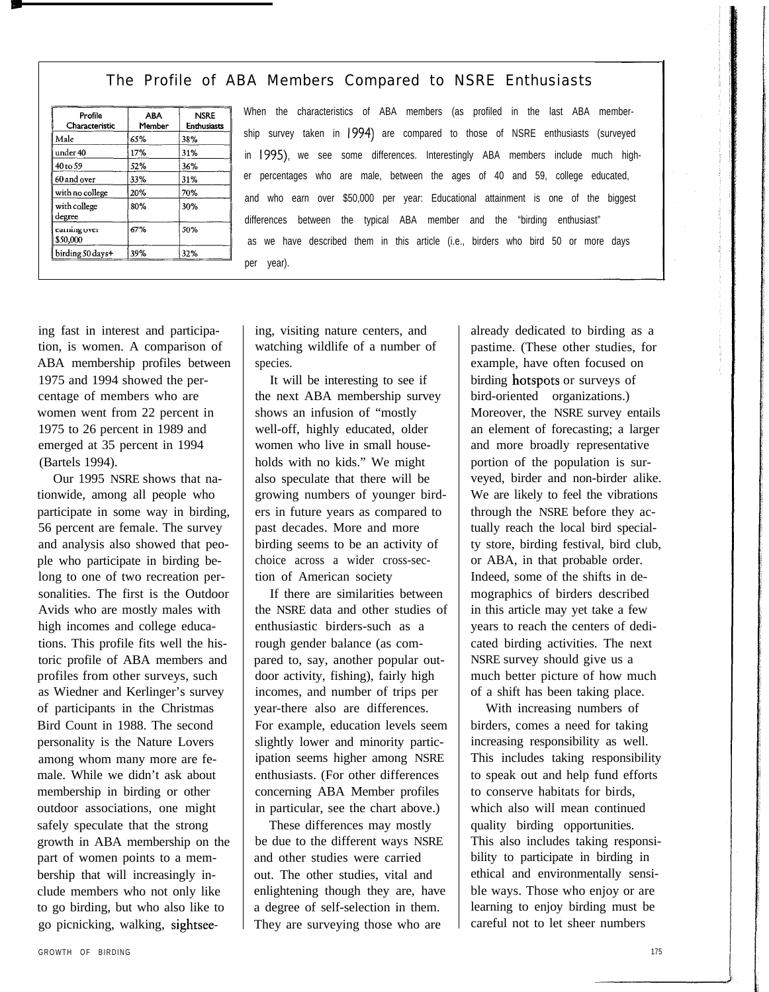#### The Profile of ABA Members Compared to NSRE Enthusiasts

| Profile<br>Characteristic | <b>ABA</b><br>Member | <b>NSRE</b><br><b>Enthusiasts</b> |
|---------------------------|----------------------|-----------------------------------|
| Male                      | 65%                  | 38%                               |
| under 40                  | 17%                  | 31%                               |
| 40 to 59                  | 52%                  | 36%                               |
| 60 and over               | 33%                  | 31%                               |
| with no college           | 20%                  | 70%                               |
| with college<br>degree    | 80%                  | 30%                               |
| carning over<br>\$50,000  | 67%                  | 50%                               |
| birding 50 days+          | 39%                  | 32%                               |

When the characteristics of ABA members (as profiled in the last ABA membership survey taken in 1994) are compared to those of NSRE enthusiasts (surveyed in 1995), we see some differences. Interestingly ABA members include much higher percentages who are male, between the ages of 40 and 59, college educated, and who earn over \$50,000 per year: Educational attainment is one of the biggest differences between the typical ABA member and the "birding enthusiast" as we have described them in this article (i.e., birders who bird 50 or more days per year).

ing fast in interest and participation, is women. A comparison of ABA membership profiles between 1975 and 1994 showed the percentage of members who are women went from 22 percent in 1975 to 26 percent in 1989 and emerged at 35 percent in 1994 (Bartels 1994).

Our 1995 NSRE shows that nationwide, among all people who participate in some way in birding, 56 percent are female. The survey and analysis also showed that people who participate in birding belong to one of two recreation personalities. The first is the Outdoor Avids who are mostly males with high incomes and college educations. This profile fits well the historic profile of ABA members and profiles from other surveys, such as Wiedner and Kerlinger's survey of participants in the Christmas Bird Count in 1988. The second personality is the Nature Lovers among whom many more are female. While we didn't ask about membership in birding or other outdoor associations, one might safely speculate that the strong growth in ABA membership on the part of women points to a membership that will increasingly include members who not only like to go birding, but who also like to go picnicking, walking, sightseeing, visiting nature centers, and watching wildlife of a number of species.

It will be interesting to see if the next ABA membership survey shows an infusion of "mostly well-off, highly educated, older women who live in small households with no kids." We might also speculate that there will be growing numbers of younger birders in future years as compared to past decades. More and more birding seems to be an activity of choice across a wider cross-section of American society

If there are similarities between the NSRE data and other studies of enthusiastic birders-such as a rough gender balance (as compared to, say, another popular outdoor activity, fishing), fairly high incomes, and number of trips per year-there also are differences. For example, education levels seem slightly lower and minority participation seems higher among NSRE enthusiasts. (For other differences concerning ABA Member profiles in particular, see the chart above.)

These differences may mostly be due to the different ways NSRE and other studies were carried out. The other studies, vital and enlightening though they are, have a degree of self-selection in them. They are surveying those who are

already dedicated to birding as a pastime. (These other studies, for example, have often focused on birding hotspots or surveys of bird-oriented organizations.) Moreover, the NSRE survey entails an element of forecasting; a larger and more broadly representative portion of the population is surveyed, birder and non-birder alike. We are likely to feel the vibrations through the NSRE before they actually reach the local bird specialty store, birding festival, bird club, or ABA, in that probable order. Indeed, some of the shifts in demographics of birders described in this article may yet take a few years to reach the centers of dedicated birding activities. The next NSRE survey should give us a much better picture of how much of a shift has been taking place.

With increasing numbers of birders, comes a need for taking increasing responsibility as well. This includes taking responsibility to speak out and help fund efforts to conserve habitats for birds, which also will mean continued quality birding opportunities. This also includes taking responsibility to participate in birding in ethical and environmentally sensible ways. Those who enjoy or are learning to enjoy birding must be careful not to let sheer numbers